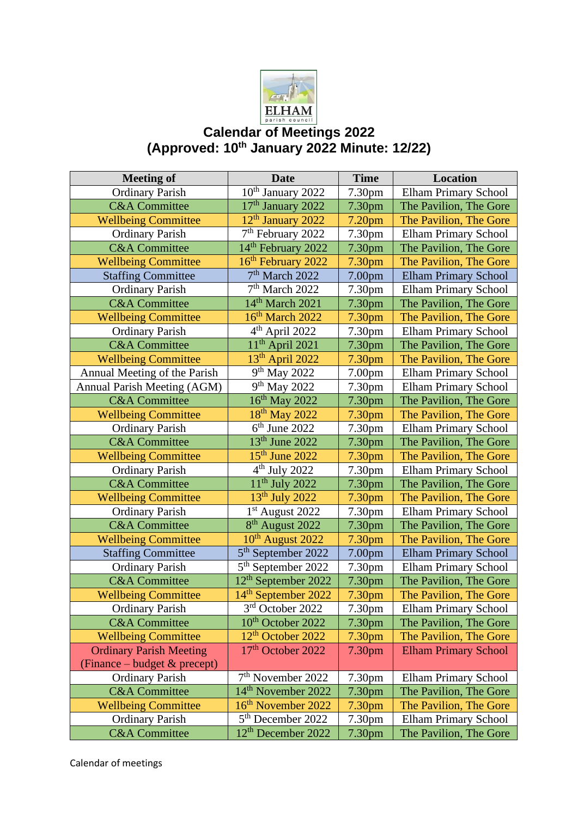

## **Calendar of Meetings 2022 (Approved: 10th January 2022 Minute: 12/22)**

| <b>Meeting of</b>              | <b>Date</b>                     | <b>Time</b>        | Location                    |
|--------------------------------|---------------------------------|--------------------|-----------------------------|
| <b>Ordinary Parish</b>         | 10 <sup>th</sup> January 2022   | 7.30pm             | <b>Elham Primary School</b> |
| <b>C&amp;A</b> Committee       | 17 <sup>th</sup> January 2022   | 7.30 <sub>pm</sub> | The Pavilion, The Gore      |
| <b>Wellbeing Committee</b>     | 12 <sup>th</sup> January 2022   | 7.20 <sub>pm</sub> | The Pavilion, The Gore      |
| <b>Ordinary Parish</b>         | 7 <sup>th</sup> February 2022   | 7.30 <sub>pm</sub> | <b>Elham Primary School</b> |
| <b>C&amp;A</b> Committee       | 14 <sup>th</sup> February 2022  | 7.30 <sub>pm</sub> | The Pavilion, The Gore      |
| <b>Wellbeing Committee</b>     | 16 <sup>th</sup> February 2022  | 7.30 <sub>pm</sub> | The Pavilion, The Gore      |
| <b>Staffing Committee</b>      | 7 <sup>th</sup> March 2022      | 7.00 <sub>pm</sub> | <b>Elham Primary School</b> |
| <b>Ordinary Parish</b>         | $7th$ March 2022                | 7.30pm             | <b>Elham Primary School</b> |
| <b>C&amp;A</b> Committee       | 14 <sup>th</sup> March 2021     | 7.30pm             | The Pavilion, The Gore      |
| <b>Wellbeing Committee</b>     | 16th March 2022                 | 7.30pm             | The Pavilion, The Gore      |
| <b>Ordinary Parish</b>         | 4 <sup>th</sup> April 2022      | 7.30pm             | Elham Primary School        |
| <b>C&amp;A</b> Committee       | $11th$ April 2021               | 7.30pm             | The Pavilion, The Gore      |
| <b>Wellbeing Committee</b>     | 13 <sup>th</sup> April 2022     | 7.30 <sub>pm</sub> | The Pavilion, The Gore      |
| Annual Meeting of the Parish   | 9 <sup>th</sup> May 2022        | 7.00 <sub>pm</sub> | <b>Elham Primary School</b> |
| Annual Parish Meeting (AGM)    | 9 <sup>th</sup> May 2022        | 7.30pm             | <b>Elham Primary School</b> |
| <b>C&amp;A</b> Committee       | 16 <sup>th</sup> May 2022       | 7.30pm             | The Pavilion, The Gore      |
| <b>Wellbeing Committee</b>     | 18 <sup>th</sup> May 2022       | 7.30pm             | The Pavilion, The Gore      |
| <b>Ordinary Parish</b>         | $6th$ June 2022                 | 7.30 <sub>pm</sub> | <b>Elham Primary School</b> |
| <b>C&amp;A</b> Committee       | 13 <sup>th</sup> June 2022      | 7.30 <sub>pm</sub> | The Pavilion, The Gore      |
| <b>Wellbeing Committee</b>     | $15th$ June 2022                | 7.30pm             | The Pavilion, The Gore      |
| <b>Ordinary Parish</b>         | $4th$ July 2022                 | 7.30 <sub>pm</sub> | <b>Elham Primary School</b> |
| <b>C&amp;A</b> Committee       | $11th$ July 2022                | 7.30pm             | The Pavilion, The Gore      |
| <b>Wellbeing Committee</b>     | $13th$ July 2022                | 7.30pm             | The Pavilion, The Gore      |
| <b>Ordinary Parish</b>         | $1st$ August 2022               | 7.30pm             | <b>Elham Primary School</b> |
| <b>C&amp;A</b> Committee       | 8 <sup>th</sup> August 2022     | 7.30pm             | The Pavilion, The Gore      |
| <b>Wellbeing Committee</b>     | 10 <sup>th</sup> August 2022    | 7.30 <sub>pm</sub> | The Pavilion, The Gore      |
| <b>Staffing Committee</b>      | 5 <sup>th</sup> September 2022  | 7.00pm             | <b>Elham Primary School</b> |
| <b>Ordinary Parish</b>         | 5 <sup>th</sup> September 2022  | 7.30pm             | <b>Elham Primary School</b> |
| <b>C&amp;A</b> Committee       | 12 <sup>th</sup> September 2022 | 7.30pm             | The Pavilion, The Gore      |
| <b>Wellbeing Committee</b>     | 14 <sup>th</sup> September 2022 | 7.30pm             | The Pavilion, The Gore      |
| <b>Ordinary Parish</b>         | 3rd October 2022                | 7.30pm             | Elham Primary School        |
| <b>C&amp;A</b> Committee       | 10 <sup>th</sup> October 2022   | 7.30pm             | The Pavilion, The Gore      |
| <b>Wellbeing Committee</b>     | 12 <sup>th</sup> October 2022   | 7.30 <sub>pm</sub> | The Pavilion, The Gore      |
| <b>Ordinary Parish Meeting</b> | 17 <sup>th</sup> October 2022   | 7.30 <sub>pm</sub> | <b>Elham Primary School</b> |
| (Finance – budget & precept)   |                                 |                    |                             |
| <b>Ordinary Parish</b>         | $7th$ November 2022             | 7.30pm             | <b>Elham Primary School</b> |
| <b>C&amp;A</b> Committee       | 14 <sup>th</sup> November 2022  | 7.30 <sub>pm</sub> | The Pavilion, The Gore      |
| <b>Wellbeing Committee</b>     | 16 <sup>th</sup> November 2022  | 7.30pm             | The Pavilion, The Gore      |
| <b>Ordinary Parish</b>         | 5 <sup>th</sup> December 2022   | 7.30 <sub>pm</sub> | <b>Elham Primary School</b> |
| <b>C&amp;A</b> Committee       | 12 <sup>th</sup> December 2022  | 7.30 <sub>pm</sub> | The Pavilion, The Gore      |